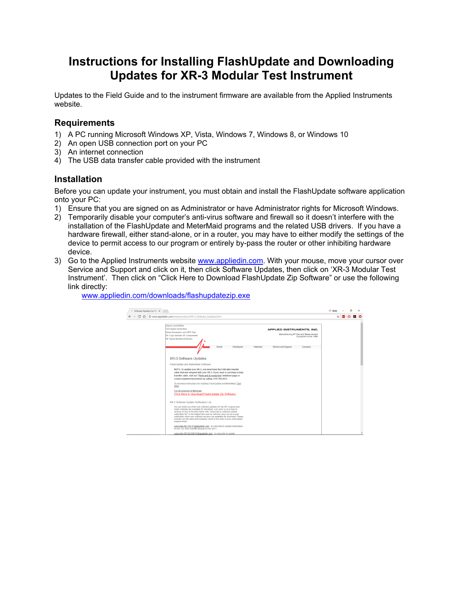# **Instructions for Installing FlashUpdate and Downloading Updates for XR-3 Modular Test Instrument**

Updates to the Field Guide and to the instrument firmware are available from the Applied Instruments website.

## **Requirements**

- 1) A PC running Microsoft Windows XP, Vista, Windows 7, Windows 8, or Windows 10
- 2) An open USB connection port on your PC
- 3) An internet connection
- 4) The USB data transfer cable provided with the instrument

# **Installation**

Before you can update your instrument, you must obtain and install the FlashUpdate software application onto your PC:

- 1) Ensure that you are signed on as Administrator or have Administrator rights for Microsoft Windows.
- 2) Temporarily disable your computer's anti-virus software and firewall so it doesn't interfere with the installation of the FlashUpdate and MeterMaid programs and the related USB drivers. If you have a hardware firewall, either stand-alone, or in a router, you may have to either modify the settings of the device to permit access to our program or entirely by-pass the router or other inhibiting hardware device.
- 3) Go to the Applied Instruments website www.appliedin.com. With your mouse, move your cursor over Service and Support and click on it, then click Software Updates, then click on 'XR-3 Modular Test Instrument'. Then click on "Click Here to Download FlashUpdate Zip Software" or use the following link directly:

4 Software Updates for Mc X  $O5$  Sooth  $\alpha$  $\mathbf{A} \times \mathbf{B}$  $\epsilon \leftrightarrow \mathbf{C} \; \, \hat{\Omega} \; \, \overline{\mathbf{0}}$  www.appliedin.com/www/products/XR-3\_Software\_Updates.htm APPLIED INSTRUMENTS, INC. Manufacturing RF Test and Measurement Service and Sunnert **XR-3 Software Updates** FlashUpdate and MeterMaid Software NOTE: To update your XR-3, you must have the USB data transfer<br>cable that was shipped with your XR-3. If you need to purchase a data<br>transfer cable, visit our CR15. If you need to purchase a data<br>transfer cable, visit our To download instructions for installing Flas<br>Here ir all versions of Windows<br>li<mark>ck Here to download FlashUpdate Zip Software</mark>. XR-3 Software Update Notification List Contained the process of the WR-3 signal<br>meter modules are available for download. Just send us an e-mail<br>meter modules are available for download. Just send us an e-mail<br>clicking on one of the links below with "Subscribe subscribe-XR-TS2-01@appliedin.com - to subscribe to update notification<br>for the TS2 DBS Satellite Module for the XR-3

www.appliedin.com/downloads/flashupdatezip.exe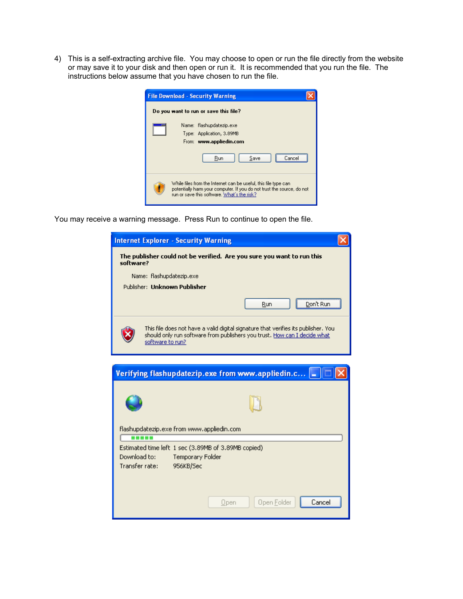4) This is a self-extracting archive file. You may choose to open or run the file directly from the website or may save it to your disk and then open or run it. It is recommended that you run the file. The instructions below assume that you have chosen to run the file.

|          | <b>File Download - Security Warning</b>                                                                                                                                                     |
|----------|---------------------------------------------------------------------------------------------------------------------------------------------------------------------------------------------|
|          | Do you want to run or save this file?                                                                                                                                                       |
| $\cdots$ | Name: flashupdatezip.exe<br>Type: Application, 3.89MB<br>From: www.appliedin.com                                                                                                            |
|          | Run<br>Save<br>`ance                                                                                                                                                                        |
|          | While files from the Internet can be useful, this file type can \,<br>potentially harm your computer. If you do not trust the source, do not<br>run or save this software. What's the risk? |

You may receive a warning message. Press Run to continue to open the file.

| <b>Internet Explorer - Security Warning</b>                                                                                                                                         |
|-------------------------------------------------------------------------------------------------------------------------------------------------------------------------------------|
| The publisher could not be verified. Are you sure you want to run this<br>software?                                                                                                 |
| Name: flashupdatezip.exe                                                                                                                                                            |
| Publisher: Unknown Publisher                                                                                                                                                        |
| Don't Run<br>Run                                                                                                                                                                    |
| This file does not have a valid digital signature that verifies its publisher. You<br>should only run software from publishers you trust. How can I decide what<br>software to run? |
|                                                                                                                                                                                     |
| Verifying flashupdatezip.exe from www.appliedin.c -                                                                                                                                 |
|                                                                                                                                                                                     |
|                                                                                                                                                                                     |
|                                                                                                                                                                                     |
| flashupdatezip.exe from www.appliedin.com                                                                                                                                           |
| Estimated time left 1 sec (3.89MB of 3.89MB copied)<br>Download to:<br><b>Temporary Folder</b><br>Transfer rate:<br>956KB/Sec                                                       |
| Cancel<br>Open Folder<br>Open                                                                                                                                                       |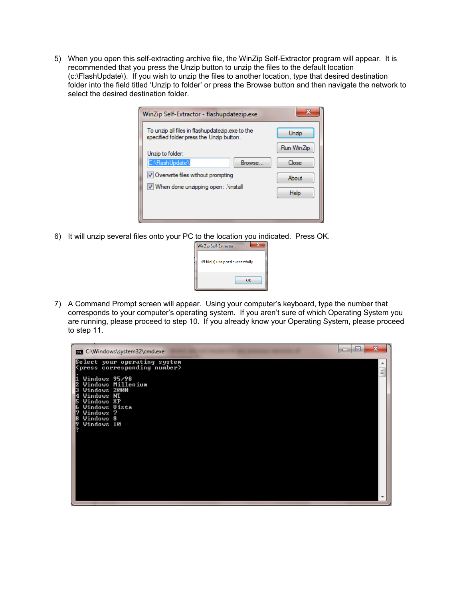5) When you open this self-extracting archive file, the WinZip Self-Extractor program will appear. It is recommended that you press the Unzip button to unzip the files to the default location (c:\FlashUpdate\). If you wish to unzip the files to another location, type that desired destination folder into the field titled 'Unzip to folder' or press the Browse button and then navigate the network to select the desired destination folder.

| WinZip Self-Extractor - flashupdatezip.exe                                                  | ×          |
|---------------------------------------------------------------------------------------------|------------|
| To unzip all files in flashupdatezip exe to the<br>specified folder press the Unzip button. | Unzip      |
| Unzip to folder:                                                                            | Run WinZip |
| C:\FlashUpdate\<br>Browse                                                                   | Close      |
| V Overwrite files without prompting<br>V When done unzipping open: . Vinstall               | About      |
|                                                                                             | Help       |
|                                                                                             |            |

6) It will unzip several files onto your PC to the location you indicated. Press OK.



7) A Command Prompt screen will appear. Using your computer's keyboard, type the number that corresponds to your computer's operating system. If you aren't sure of which Operating System you are running, please proceed to step 10. If you already know your Operating System, please proceed to step 11.

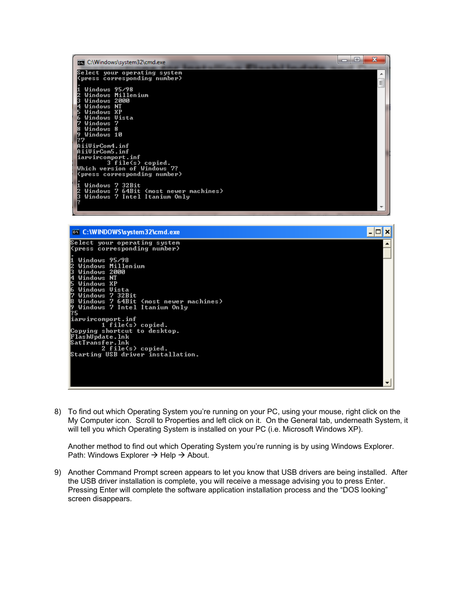| <b>EXEC:\Windows\system32\cmd.exe</b>                                 | ш | $\mathbf x$ |
|-----------------------------------------------------------------------|---|-------------|
| Select your operating system<br>(press corresponding number)          |   | A           |
| Windows 95/98                                                         |   | Ξ           |
| Windows Millenium<br>Windows 2000<br>R<br>Windows NT                  |   |             |
| Windows XP<br>Windows Uista                                           |   |             |
| Windows 7<br>Windows 8                                                |   |             |
| Windows 10<br>1? 7                                                    |   |             |
| AiiVirCom4.inf<br>AiiVirCom5.inf                                      |   |             |
| iarvircomport.inf<br>3 file(s) copied.                                |   |             |
| Which version of Windows 7?<br>(press corresponding number)           |   |             |
| Windows 7 32Bit                                                       |   |             |
| Windows 7 64Bit (most newer machines)<br>Windows 7 Intel Itanium Only |   |             |
|                                                                       |   |             |



8) To find out which Operating System you're running on your PC, using your mouse, right click on the My Computer icon. Scroll to Properties and left click on it. On the General tab, underneath System, it will tell you which Operating System is installed on your PC (i.e. Microsoft Windows XP).

Another method to find out which Operating System you're running is by using Windows Explorer. Path: Windows Explorer  $\rightarrow$  Help  $\rightarrow$  About.

9) Another Command Prompt screen appears to let you know that USB drivers are being installed. After the USB driver installation is complete, you will receive a message advising you to press Enter. Pressing Enter will complete the software application installation process and the "DOS looking" screen disappears.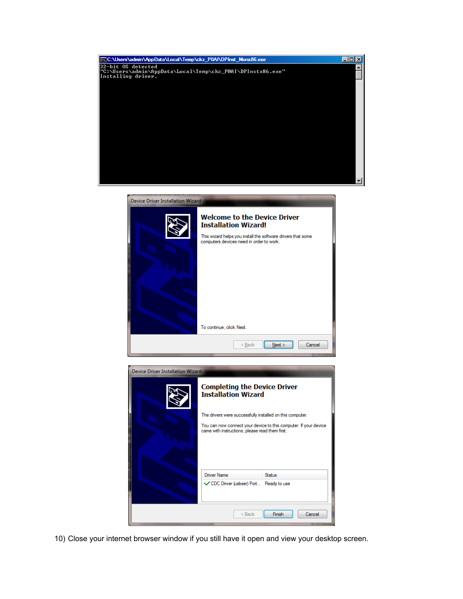

| Device Driver Installation Wizard |                                                                                                                                                                                |                                                                  |  |
|-----------------------------------|--------------------------------------------------------------------------------------------------------------------------------------------------------------------------------|------------------------------------------------------------------|--|
|                                   | <b>Welcome to the Device Driver</b><br><b>Installation Wizard!</b><br>This wizard helps you install the software drivers that some<br>computers devices need in order to work. |                                                                  |  |
|                                   | To continue, click Next.<br>< Back                                                                                                                                             | Cancel<br>Next                                                   |  |
| Device Driver Installation Wizard | <b>Completing the Device Driver</b><br><b>Installation Wizard</b><br>The drivers were successfully installed on this computer.                                                 |                                                                  |  |
|                                   | came with instructions, please read them first.                                                                                                                                | You can now connect your device to this computer. If your device |  |
|                                   | Driver Name                                                                                                                                                                    | <b>Status</b>                                                    |  |
|                                   | √ CDC Driver (usbser) Port Ready to use                                                                                                                                        |                                                                  |  |

10) Close your internet browser window if you still have it open and view your desktop screen.

 $\Big|$  < Back

Finish

Cancel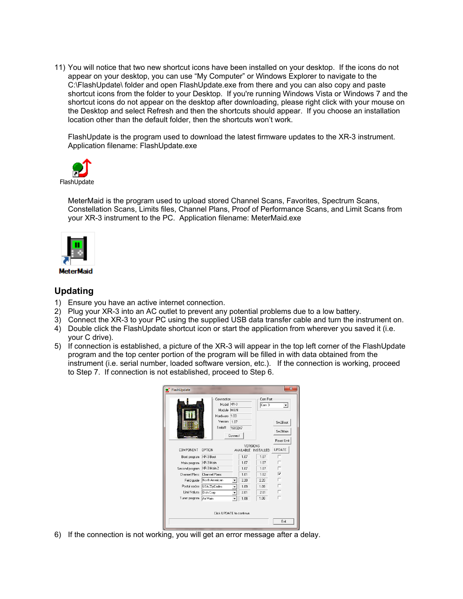11) You will notice that two new shortcut icons have been installed on your desktop. If the icons do not appear on your desktop, you can use "My Computer" or Windows Explorer to navigate to the C:\FlashUpdate\ folder and open FlashUpdate.exe from there and you can also copy and paste shortcut icons from the folder to your Desktop. If you're running Windows Vista or Windows 7 and the shortcut icons do not appear on the desktop after downloading, please right click with your mouse on the Desktop and select Refresh and then the shortcuts should appear. If you choose an installation location other than the default folder, then the shortcuts won't work.

FlashUpdate is the program used to download the latest firmware updates to the XR-3 instrument. Application filename: FlashUpdate.exe



MeterMaid is the program used to upload stored Channel Scans, Favorites, Spectrum Scans, Constellation Scans, Limits files, Channel Plans, Proof of Performance Scans, and Limit Scans from your XR-3 instrument to the PC. Application filename: MeterMaid.exe



# **Updating**

- 1) Ensure you have an active internet connection.
- 2) Plug your XR-3 into an AC outlet to prevent any potential problems due to a low battery.
- 3) Connect the XR-3 to your PC using the supplied USB data transfer cable and turn the instrument on.
- 4) Double click the FlashUpdate shortcut icon or start the application from wherever you saved it (i.e. your C drive).
- 5) If connection is established, a picture of the XR-3 will appear in the top left corner of the FlashUpdate program and the top center portion of the program will be filled in with data obtained from the instrument (i.e. serial number, loaded software version, etc.). If the connection is working, proceed to Step 7. If connection is not established, proceed to Step 6.

| FlashUpdate                                    |                                                                           |                                    |                      |                              |                         |
|------------------------------------------------|---------------------------------------------------------------------------|------------------------------------|----------------------|------------------------------|-------------------------|
|                                                | Connection<br>Model XR-3<br>Module MAIN<br>Hardware<br>Version<br>Serial# | 1.00<br>1.07<br>1683247<br>Connect |                      | Com Port<br>Com 3            | ▼<br>Sw2Boot<br>Sw2Main |
| COMPONENT                                      | OPTION                                                                    |                                    | AVAILABLE            | VERSIONS<br><b>INSTALLED</b> | Reset Unit<br>UPDATE    |
| Boot program<br>Main program                   | XR-3 Boot<br>XR-3 Main                                                    |                                    | 1.07<br>1.07         | 1 <sub>07</sub><br>1.07      | ┍                       |
| Second program<br>Channel Plans<br>Field quide | XR-3 Main 2<br>Channel Plans<br>North American                            |                                    | 1.07<br>1.01<br>2.20 | 1.07<br>1.02<br>220          | ⊽<br>г                  |
| Postal codes<br>Limit Values                   | USA ZipCodes<br>Dish Corp                                                 | ٠                                  | 1.09<br>2.01         | 1.09<br>2.01                 | ┍<br>г                  |
| Tuner program                                  | Air Main<br>Click UPDATE to continue.                                     | $\overline{\phantom{a}}$           | 1.08                 | 1.08                         | Exit                    |

6) If the connection is not working, you will get an error message after a delay.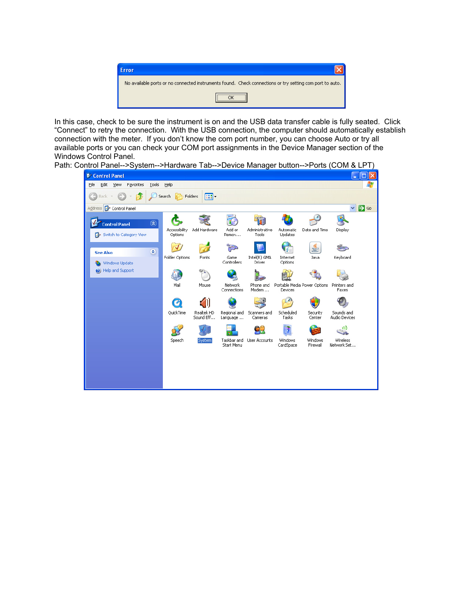

In this case, check to be sure the instrument is on and the USB data transfer cable is fully seated. Click "Connect" to retry the connection. With the USB connection, the computer should automatically establish connection with the meter. If you don't know the com port number, you can choose Auto or try all available ports or you can check your COM port assignments in the Device Manager section of the Windows Control Panel.

Path: Control Panel-->System-->Hardware Tab-->Device Manager button-->Ports (COM & LPT)

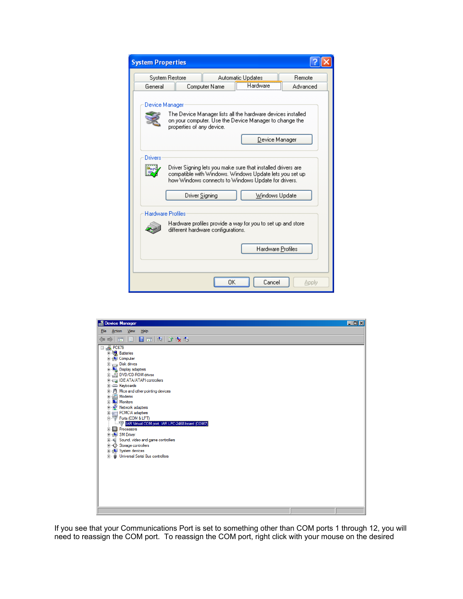| <b>System Properties</b> |                                    |               |                                                                                                                                                                                |          |  |
|--------------------------|------------------------------------|---------------|--------------------------------------------------------------------------------------------------------------------------------------------------------------------------------|----------|--|
|                          | System Restore                     |               | Automatic Updates                                                                                                                                                              | Remote   |  |
| General                  |                                    | Computer Name | Hardware                                                                                                                                                                       | Advanced |  |
| Device Manager           |                                    |               |                                                                                                                                                                                |          |  |
|                          | properties of any device.          |               | The Device Manager lists all the hardware devices installed<br>on your computer. Use the Device Manager to change the                                                          |          |  |
|                          |                                    |               | Device Manager                                                                                                                                                                 |          |  |
| Drivers                  |                                    |               |                                                                                                                                                                                |          |  |
|                          |                                    |               | Driver Signing lets you make sure that installed drivers are<br>compatible with Windows. Windows Update lets you set up<br>how Windows connects to Windows Update for drivers. |          |  |
|                          | Driver Signing                     |               | Windows Update                                                                                                                                                                 |          |  |
| <b>Hardware Profiles</b> |                                    |               |                                                                                                                                                                                |          |  |
|                          | different hardware configurations. |               | Hardware profiles provide a way for you to set up and store.                                                                                                                   |          |  |
|                          |                                    |               | Hardware Profiles                                                                                                                                                              |          |  |
|                          |                                    | 0K            | Cancel                                                                                                                                                                         | Apply    |  |



If you see that your Communications Port is set to something other than COM ports 1 through 12, you will need to reassign the COM port. To reassign the COM port, right click with your mouse on the desired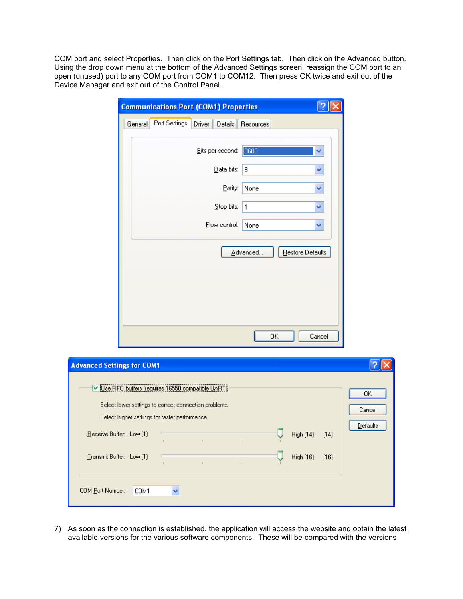COM port and select Properties. Then click on the Port Settings tab. Then click on the Advanced button. Using the drop down menu at the bottom of the Advanced Settings screen, reassign the COM port to an open (unused) port to any COM port from COM1 to COM12. Then press OK twice and exit out of the Device Manager and exit out of the Control Panel.

| <b>Communications Port (COM1) Properties</b> |                              |           |                  |        |
|----------------------------------------------|------------------------------|-----------|------------------|--------|
| Port Settings<br>General                     | Driver<br>$\mathsf{Details}$ | Resources |                  |        |
|                                              | Bits per second:             | 9600      |                  | ₩      |
|                                              | Data bits:                   | 8         |                  | v      |
|                                              | Parity:                      | None      |                  | v      |
|                                              | Stop bits:                   | 1         |                  | ٧      |
|                                              | Flow control:                | None      |                  | v      |
|                                              |                              | Advanced  | Restore Defaults |        |
|                                              |                              |           |                  |        |
|                                              |                              |           |                  |        |
|                                              |                              |           |                  |        |
|                                              |                              |           |                  |        |
|                                              |                              | ΟK        |                  | Cancel |

| <b>Advanced Settings for COM1</b>                                                                                                                                                       |                                               |
|-----------------------------------------------------------------------------------------------------------------------------------------------------------------------------------------|-----------------------------------------------|
| Use FIFO buffers (requires 16550 compatible UART)<br>Select lower settings to correct connection problems.<br>Select higher settings for faster performance.<br>Receive Buffer: Low (1) | OΚ<br>Cancel<br>Defaults<br>High (14)<br>(14) |
| Transmit Buffer: Low [1]<br>$\mathbf{r}$                                                                                                                                                | High (16)<br>[16]                             |
| COM Port Number:<br>COM1<br>v                                                                                                                                                           |                                               |

7) As soon as the connection is established, the application will access the website and obtain the latest available versions for the various software components. These will be compared with the versions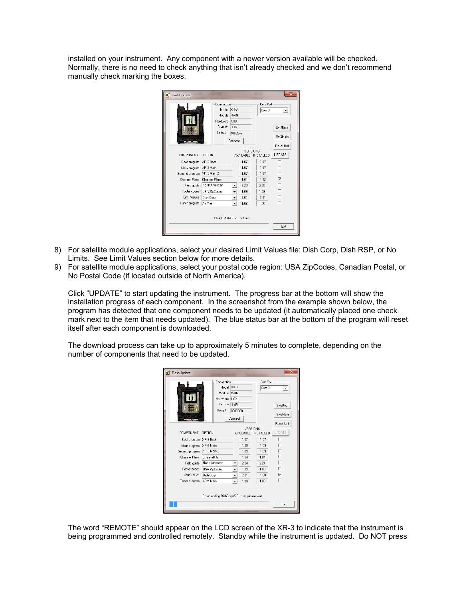installed on your instrument. Any component with a newer version available will be checked. Normally, there is no need to check anything that isn't already checked and we don't recommend manually check marking the boxes.

|                           |                | Connection |                          |       | Com Port            |                |
|---------------------------|----------------|------------|--------------------------|-------|---------------------|----------------|
|                           |                | Model XR-3 |                          | Com 3 | ▼                   |                |
|                           |                | Module     | MAIN                     |       |                     |                |
|                           |                | Hardware   | 1.00                     |       |                     |                |
|                           |                | Version    | 1.07                     |       |                     | Sw2Boot        |
|                           |                | Serial#    | 1683247                  |       |                     | Sw2Main        |
|                           |                |            | Connect                  |       |                     |                |
|                           |                |            |                          |       |                     | Reset Unit     |
|                           |                |            |                          |       | VERSIONS            |                |
| COMPONENT                 | OPTION         |            |                          |       | AVAILABLE INSTALLED | UPDATE         |
| Boot program              | XR-3 Boot      |            |                          | 1.07  | 1.07                |                |
| Main program              | XR-3 Main      |            |                          | 1.07  | 1.07                | г              |
| Second program            | XR-3 Main 2    |            |                          | 1.07  | 1 <sub>07</sub>     | г              |
| Channel Plans             | Channel Plans  |            |                          | 1.01  | 1.02                | $\overline{V}$ |
| Field guide               | North American |            |                          | 2.20  | 2.20                | г              |
| Postal codes              | USA ZipCodes   |            | ۰                        | 1.09  | 1.09                | г              |
| Limit Values              | Dish Corp      |            | ۰                        | 2.01  | 2.01                | г              |
| Tuner program             | Air Main       |            | $\overline{\phantom{a}}$ | 1.08  | 1.08                | г              |
|                           |                |            |                          |       |                     |                |
| Click UPDATE to continue. |                |            |                          |       |                     |                |
|                           |                |            |                          |       |                     | Exit           |

- 8) For satellite module applications, select your desired Limit Values file: Dish Corp, Dish RSP, or No Limits. See Limit Values section below for more details.
- 9) For satellite module applications, select your postal code region: USA ZipCodes, Canadian Postal, or No Postal Code (if located outside of North America).

Click "UPDATE" to start updating the instrument. The progress bar at the bottom will show the installation progress of each component. In the screenshot from the example shown below, the program has detected that one component needs to be updated (it automatically placed one check mark next to the item that needs updated). The blue status bar at the bottom of the program will reset itself after each component is downloaded.

The download process can take up to approximately 5 minutes to complete, depending on the number of components that need to be updated.

| FlashUpdate    |                                           |                          |                   |                              |                         |
|----------------|-------------------------------------------|--------------------------|-------------------|------------------------------|-------------------------|
|                | Connection<br>Model XR-3<br>Module MAIN   |                          | Com Port<br>Com 3 | $\mathbf{v}$                 |                         |
|                | Hardware<br>Version<br>Serial#            | 1.02<br>1.09             |                   |                              | Sw2Boot                 |
|                |                                           | 0000000<br>Connect       |                   |                              | Sw2Main<br>Reset Unit   |
| COMPONENT      | OPTION                                    |                          | <b>AVAILABLE</b>  | VERSIONS<br><b>INSTALLED</b> | UPDATE                  |
| Boot program   | XR-3 Boot                                 |                          | 1.07              | 1 <sub>07</sub>              | г                       |
| Main program   | XR-3 Main                                 |                          | 1.09              | 1.09                         |                         |
| Second program | XR-3 Main 2                               |                          | 1.09              | 1.09                         | г                       |
| Channel Plans  | <b>Channel Plans</b>                      |                          | 1.04              | 1.04                         | п                       |
| Field quide    | North American                            | ▼                        | 2.24              | 2.24                         | г                       |
| Postal codes   | USA ZipCodes                              | ۰                        | 1.09              | 1.09                         | П                       |
| Limit Values   | Dish Corp                                 | ٠                        | 2.01              | 1.00                         | $\overline{\mathbf{v}}$ |
| Tuner program  | ACM Main                                  | $\overline{\phantom{a}}$ | 1.09              | 1.09                         | п                       |
|                | Downloading DishCorpV201.hex, please wait |                          |                   |                              | Exit                    |

The word "REMOTE" should appear on the LCD screen of the XR-3 to indicate that the instrument is being programmed and controlled remotely. Standby while the instrument is updated. Do NOT press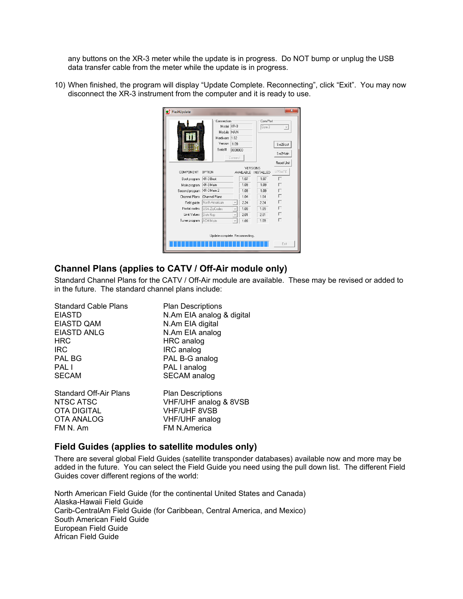any buttons on the XR-3 meter while the update is in progress. Do NOT bump or unplug the USB data transfer cable from the meter while the update is in progress.

10) When finished, the program will display "Update Complete. Reconnecting", click "Exit". You may now disconnect the XR-3 instrument from the computer and it is ready to use.



#### **Channel Plans (applies to CATV / Off-Air module only)**

Standard Channel Plans for the CATV / Off-Air module are available. These may be revised or added to in the future. The standard channel plans include:

| <b>Standard Cable Plans</b>   | <b>Plan Descriptions</b>  |
|-------------------------------|---------------------------|
| <b>EIASTD</b>                 | N.Am EIA analog & digital |
| <b>EIASTD QAM</b>             | N.Am EIA digital          |
| <b>EIASTD ANLG</b>            | N.Am EIA analog           |
| <b>HRC</b>                    | HRC analog                |
| <b>IRC</b>                    | IRC analog                |
| <b>PAL BG</b>                 | PAL B-G analog            |
| <b>PAL</b> I                  | PAL I analog              |
| <b>SECAM</b>                  | SECAM analog              |
| <b>Standard Off-Air Plans</b> | <b>Plan Descriptions</b>  |
| NTSC ATSC                     | VHF/UHF analog & 8VSB     |
| <b>OTA DIGITAL</b>            | <b>VHF/UHF 8VSB</b>       |
| <b>OTA ANALOG</b>             | <b>VHF/UHF</b> analog     |
| FM N. Am                      | <b>FM N.America</b>       |

# **Field Guides (applies to satellite modules only)**

There are several global Field Guides (satellite transponder databases) available now and more may be added in the future. You can select the Field Guide you need using the pull down list. The different Field Guides cover different regions of the world:

North American Field Guide (for the continental United States and Canada) Alaska-Hawaii Field Guide Carib-CentralAm Field Guide (for Caribbean, Central America, and Mexico) South American Field Guide European Field Guide African Field Guide